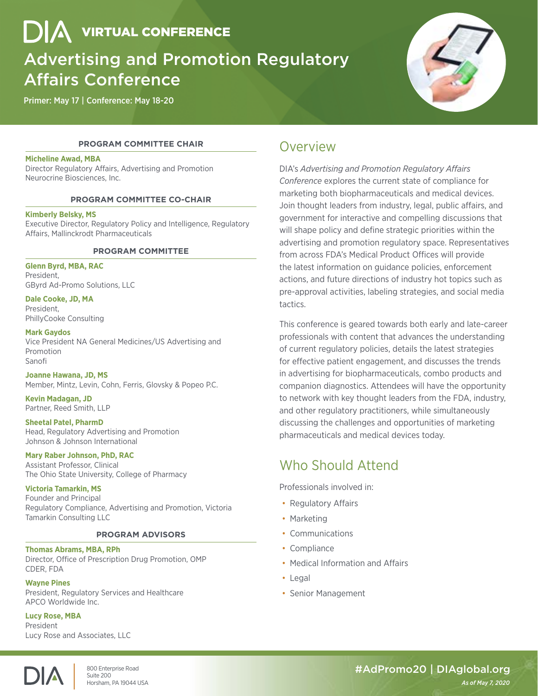**DIA** VIRTUAL CONFERENCE

# Advertising and Promotion Regulatory Affairs Conference

Primer: May 17 | Conference: May 18-20



# **PROGRAM COMMITTEE CHAIR**

# **Micheline Awad, MBA**

Director Regulatory Affairs, Advertising and Promotion Neurocrine Biosciences, Inc.

### **PROGRAM COMMITTEE CO-CHAIR**

### **Kimberly Belsky, MS**

Executive Director, Regulatory Policy and Intelligence, Regulatory Affairs, Mallinckrodt Pharmaceuticals

# **PROGRAM COMMITTEE**

**Glenn Byrd, MBA, RAC** President, GByrd Ad-Promo Solutions, LLC

**Dale Cooke, JD, MA**  President, PhillyCooke Consulting

**Mark Gaydos** Vice President NA General Medicines/US Advertising and Promotion Sanofi

**Joanne Hawana, JD, MS** 

Member, Mintz, Levin, Cohn, Ferris, Glovsky & Popeo P.C.

**Kevin Madagan, JD**  Partner, Reed Smith, LLP

### **Sheetal Patel, PharmD** Head, Regulatory Advertising and Promotion Johnson & Johnson International

### **Mary Raber Johnson, PhD, RAC**

Assistant Professor, Clinical The Ohio State University, College of Pharmacy

# **Victoria Tamarkin, MS**

Founder and Principal Regulatory Compliance, Advertising and Promotion, Victoria Tamarkin Consulting LLC

### **PROGRAM ADVISORS**

### **Thomas Abrams, MBA, RPh**

Director, Office of Prescription Drug Promotion, OMP CDER, FDA

### **Wayne Pines**

President, Regulatory Services and Healthcare APCO Worldwide Inc.

# **Lucy Rose, MBA**

President Lucy Rose and Associates, LLC



Horsham, PA 19044 USA *As of May 7, 2020*

# Overview

DIA's *Advertising and Promotion Regulatory Affairs Conference* explores the current state of compliance for marketing both biopharmaceuticals and medical devices. Join thought leaders from industry, legal, public affairs, and government for interactive and compelling discussions that will shape policy and define strategic priorities within the advertising and promotion regulatory space. Representatives from across FDA's Medical Product Offices will provide the latest information on guidance policies, enforcement actions, and future directions of industry hot topics such as pre-approval activities, labeling strategies, and social media tactics.

This conference is geared towards both early and late-career professionals with content that advances the understanding of current regulatory policies, details the latest strategies for effective patient engagement, and discusses the trends in advertising for biopharmaceuticals, combo products and companion diagnostics. Attendees will have the opportunity to network with key thought leaders from the FDA, industry, and other regulatory practitioners, while simultaneously discussing the challenges and opportunities of marketing pharmaceuticals and medical devices today.

# Who Should Attend

Professionals involved in:

- Regulatory Affairs
- Marketing
- Communications
- Compliance
- Medical Information and Affairs
- Legal
- Senior Management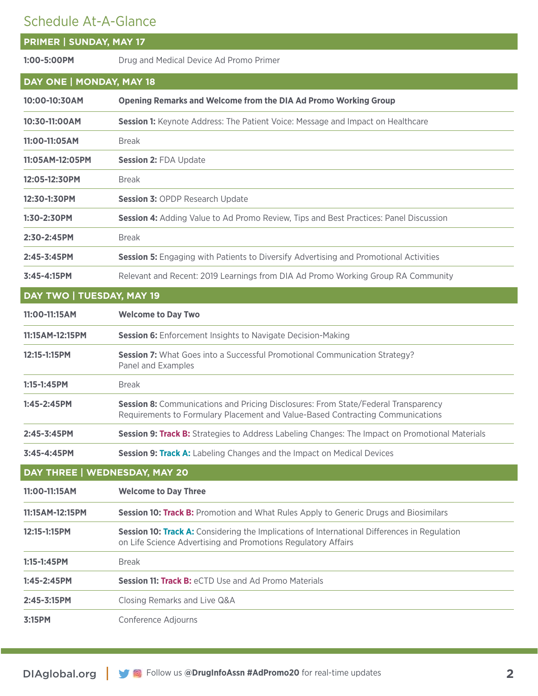# Schedule At-A-Glance

| SCHEUUIE AL-A-UIdHCE           |                                                                                                                                                                      |
|--------------------------------|----------------------------------------------------------------------------------------------------------------------------------------------------------------------|
| <b>PRIMER   SUNDAY, MAY 17</b> |                                                                                                                                                                      |
| 1:00-5:00PM                    | Drug and Medical Device Ad Promo Primer                                                                                                                              |
| DAY ONE   MONDAY, MAY 18       |                                                                                                                                                                      |
| 10:00-10:30AM                  | <b>Opening Remarks and Welcome from the DIA Ad Promo Working Group</b>                                                                                               |
| 10:30-11:00AM                  | Session 1: Keynote Address: The Patient Voice: Message and Impact on Healthcare                                                                                      |
| 11:00-11:05AM                  | <b>Break</b>                                                                                                                                                         |
| 11:05AM-12:05PM                | <b>Session 2: FDA Update</b>                                                                                                                                         |
| 12:05-12:30PM                  | <b>Break</b>                                                                                                                                                         |
| 12:30-1:30PM                   | <b>Session 3: OPDP Research Update</b>                                                                                                                               |
| 1:30-2:30PM                    | Session 4: Adding Value to Ad Promo Review, Tips and Best Practices: Panel Discussion                                                                                |
| 2:30-2:45PM                    | <b>Break</b>                                                                                                                                                         |
| 2:45-3:45PM                    | <b>Session 5:</b> Engaging with Patients to Diversify Advertising and Promotional Activities                                                                         |
| 3:45-4:15PM                    | Relevant and Recent: 2019 Learnings from DIA Ad Promo Working Group RA Community                                                                                     |
| DAY TWO   TUESDAY, MAY 19      |                                                                                                                                                                      |
| 11:00-11:15AM                  | <b>Welcome to Day Two</b>                                                                                                                                            |
| 11:15AM-12:15PM                | <b>Session 6:</b> Enforcement Insights to Navigate Decision-Making                                                                                                   |
| 12:15-1:15PM                   | Session 7: What Goes into a Successful Promotional Communication Strategy?<br>Panel and Examples                                                                     |
| 1:15-1:45PM                    | <b>Break</b>                                                                                                                                                         |
| 1:45-2:45PM                    | Session 8: Communications and Pricing Disclosures: From State/Federal Transparency<br>Requirements to Formulary Placement and Value-Based Contracting Communications |
| 2:45-3:45PM                    | Session 9: Track B: Strategies to Address Labeling Changes: The Impact on Promotional Materials                                                                      |
| 3:45-4:45PM                    | Session 9: Track A: Labeling Changes and the Impact on Medical Devices                                                                                               |
| DAY THREE   WEDNESDAY, MAY 20  |                                                                                                                                                                      |
| 11:00-11:15AM                  | <b>Welcome to Day Three</b>                                                                                                                                          |
| 11:15AM-12:15PM                | Session 10: Track B: Promotion and What Rules Apply to Generic Drugs and Biosimilars                                                                                 |
| 12:15-1:15PM                   | Session 10: Track A: Considering the Implications of International Differences in Regulation<br>on Life Science Advertising and Promotions Regulatory Affairs        |
| $1:15 - 1:45$ PM               | <b>Break</b>                                                                                                                                                         |
| 1:45-2:45PM                    | <b>Session 11: Track B: eCTD Use and Ad Promo Materials</b>                                                                                                          |
| 2:45-3:15PM                    | Closing Remarks and Live Q&A                                                                                                                                         |
| 3:15PM                         | Conference Adjourns                                                                                                                                                  |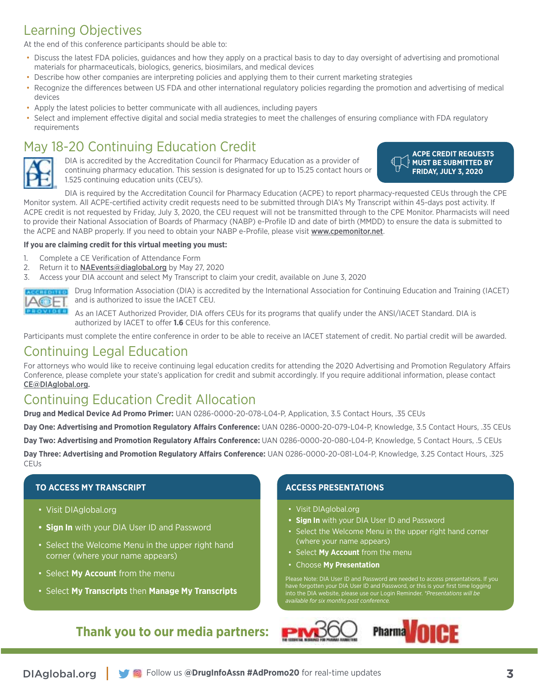# Learning Objectives

At the end of this conference participants should be able to:

- Discuss the latest FDA policies, guidances and how they apply on a practical basis to day to day oversight of advertising and promotional materials for pharmaceuticals, biologics, generics, biosimilars, and medical devices
- Describe how other companies are interpreting policies and applying them to their current marketing strategies
- Recognize the differences between US FDA and other international regulatory policies regarding the promotion and advertising of medical devices
- Apply the latest policies to better communicate with all audiences, including payers
- Select and implement effective digital and social media strategies to meet the challenges of ensuring compliance with FDA regulatory requirements

# May 18-20 Continuing Education Credit



DIA is accredited by the Accreditation Council for Pharmacy Education as a provider of continuing pharmacy education. This session is designated for up to 15.25 contact hours or 1.525 continuing education units (CEU's).

**ACPE CREDIT REQUESTS MUST BE SUBMITTED BY FRIDAY, JULY 3, 2020**

DIA is required by the Accreditation Council for Pharmacy Education (ACPE) to report pharmacy-requested CEUs through the CPE Monitor system. All ACPE-certified activity credit requests need to be submitted through DIA's My Transcript within 45-days post activity. If ACPE credit is not requested by Friday, July 3, 2020, the CEU request will not be transmitted through to the CPE Monitor. Pharmacists will need to provide their National Association of Boards of Pharmacy (NABP) e-Profile ID and date of birth (MMDD) to ensure the data is submitted to the ACPE and NABP properly. If you need to obtain your NABP e-Profile, please visit [www.cpemonitor.net](http://www.cpemonitor.net).

# **If you are claiming credit for this virtual meeting you must:**

- 1. Complete a CE Verification of Attendance Form
- 2. Return it to [NAEvents@diaglobal.org](mailto:NAEvents%40diaglobal.org?subject=) by May 27, 2020
- 3. Access your DIA account and select My Transcript to claim your credit, available on June 3, 2020



Drug Information Association (DIA) is accredited by the International Association for Continuing Education and Training (IACET) and is authorized to issue the IACET CEU.

As an IACET Authorized Provider, DIA offers CEUs for its programs that qualify under the ANSI/IACET Standard. DIA is authorized by IACET to offer **1.6** CEUs for this conference.

Participants must complete the entire conference in order to be able to receive an IACET statement of credit. No partial credit will be awarded.

# Continuing Legal Education

For attorneys who would like to receive continuing legal education credits for attending the 2020 Advertising and Promotion Regulatory Affairs Conference, please complete your state's application for credit and submit accordingly. If you require additional information, please contact [CE@DIAglobal.org](mailto:CE%40DIAglobal.org?subject=).

# Continuing Education Credit Allocation

**Drug and Medical Device Ad Promo Primer:** UAN 0286-0000-20-078-L04-P, Application, 3.5 Contact Hours, .35 CEUs

**Day One: Advertising and Promotion Regulatory Affairs Conference:** UAN 0286-0000-20-079-L04-P, Knowledge, 3.5 Contact Hours, .35 CEUs **Day Two: Advertising and Promotion Regulatory Affairs Conference:** UAN 0286-0000-20-080-L04-P, Knowledge, 5 Contact Hours, .5 CEUs **Day Three: Advertising and Promotion Regulatory Affairs Conference:** UAN 0286-0000-20-081-L04-P, Knowledge, 3.25 Contact Hours, .325 **CEUs** 

# **TO ACCESS MY TRANSCRIPT**

- Visit DIAglobal.org
- **• Sign In** with your DIA User ID and Password
- Select the Welcome Menu in the upper right hand corner (where your name appears)
- Select **My Account** from the menu
- Select **My Transcripts** then **Manage My Transcripts**

# **Thank you to our media partners:**

# **ACCESS PRESENTATIONS**

- Visit DIAglobal.org
- **• Sign In** with your DIA User ID and Password
- Select the Welcome Menu in the upper right hand corner (where your name appears)
- Select **My Account** from the menu
- Choose **My Presentation**

Please Note: DIA User ID and Password are needed to access presentations. If you have forgotten your DIA User ID and Password, or this is your first time logging into the DIA website, please use our Login Reminder. *\*Presentations will be available for six months post conference.*

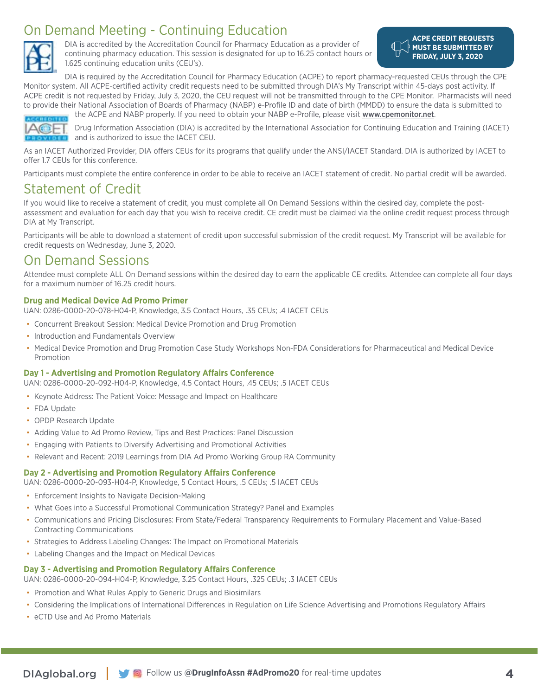# On Demand Meeting - Continuing Education



DIA is accredited by the Accreditation Council for Pharmacy Education as a provider of continuing pharmacy education. This session is designated for up to 16.25 contact hours or 1.625 continuing education units (CEU's).

**ACPE CREDIT REQUESTS MUST BE SUBMITTED BY FRIDAY, JULY 3, 2020**

DIA is required by the Accreditation Council for Pharmacy Education (ACPE) to report pharmacy-requested CEUs through the CPE Monitor system. All ACPE-certified activity credit requests need to be submitted through DIA's My Transcript within 45-days post activity. If ACPE credit is not requested by Friday, July 3, 2020, the CEU request will not be transmitted through to the CPE Monitor. Pharmacists will need to provide their National Association of Boards of Pharmacy (NABP) e-Profile ID and date of birth (MMDD) to ensure the data is submitted to the ACPE and NABP properly. If you need to obtain your NABP e-Profile, please visit [www.cpemonitor.net](http://www.cpemonitor.net).



Drug Information Association (DIA) is accredited by the International Association for Continuing Education and Training (IACET) and is authorized to issue the IACET CEU.

As an IACET Authorized Provider, DIA offers CEUs for its programs that qualify under the ANSI/IACET Standard. DIA is authorized by IACET to offer 1.7 CEUs for this conference.

Participants must complete the entire conference in order to be able to receive an IACET statement of credit. No partial credit will be awarded.

# Statement of Credit

If you would like to receive a statement of credit, you must complete all On Demand Sessions within the desired day, complete the postassessment and evaluation for each day that you wish to receive credit. CE credit must be claimed via the online credit request process through DIA at My Transcript.

Participants will be able to download a statement of credit upon successful submission of the credit request. My Transcript will be available for credit requests on Wednesday, June 3, 2020.

# On Demand Sessions

Attendee must complete ALL On Demand sessions within the desired day to earn the applicable CE credits. Attendee can complete all four days for a maximum number of 16.25 credit hours.

# **Drug and Medical Device Ad Promo Primer**

UAN: 0286-0000-20-078-H04-P, Knowledge, 3.5 Contact Hours, .35 CEUs; .4 IACET CEUs

- Concurrent Breakout Session: Medical Device Promotion and Drug Promotion
- Introduction and Fundamentals Overview
- Medical Device Promotion and Drug Promotion Case Study Workshops Non-FDA Considerations for Pharmaceutical and Medical Device Promotion

# **Day 1 - Advertising and Promotion Regulatory Affairs Conference**

UAN: 0286-0000-20-092-H04-P, Knowledge, 4.5 Contact Hours, .45 CEUs; .5 IACET CEUs

- Keynote Address: The Patient Voice: Message and Impact on Healthcare
- FDA Update
- OPDP Research Update
- Adding Value to Ad Promo Review, Tips and Best Practices: Panel Discussion
- Engaging with Patients to Diversify Advertising and Promotional Activities
- Relevant and Recent: 2019 Learnings from DIA Ad Promo Working Group RA Community

# **Day 2 - Advertising and Promotion Regulatory Affairs Conference**

UAN: 0286-0000-20-093-H04-P, Knowledge, 5 Contact Hours, .5 CEUs; .5 IACET CEUs

- Enforcement Insights to Navigate Decision-Making
- What Goes into a Successful Promotional Communication Strategy? Panel and Examples
- Communications and Pricing Disclosures: From State/Federal Transparency Requirements to Formulary Placement and Value-Based Contracting Communications
- Strategies to Address Labeling Changes: The Impact on Promotional Materials
- Labeling Changes and the Impact on Medical Devices

# **Day 3 - Advertising and Promotion Regulatory Affairs Conference**

UAN: 0286-0000-20-094-H04-P, Knowledge, 3.25 Contact Hours, .325 CEUs; .3 IACET CEUs

- Promotion and What Rules Apply to Generic Drugs and Biosimilars
- Considering the Implications of International Differences in Regulation on Life Science Advertising and Promotions Regulatory Affairs
- eCTD Use and Ad Promo Materials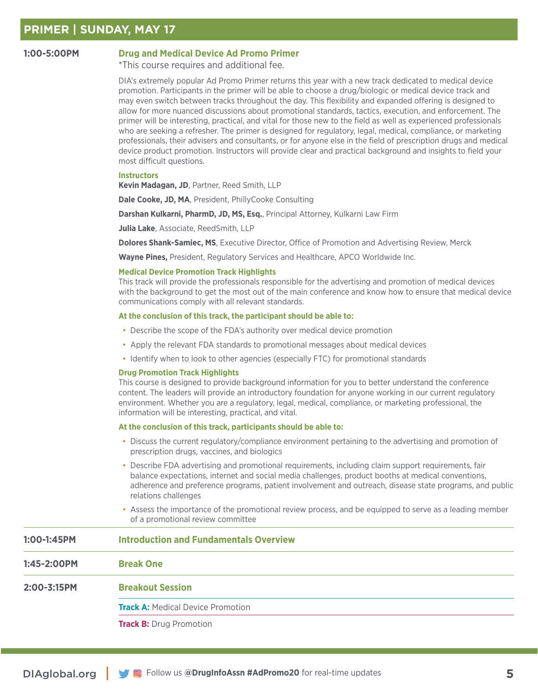# **1:00-5:00PM Drug and Medical Device Ad Promo Primer**

\*This course requires and additional fee.

DIA's extremely popular Ad Promo Primer returns this year with a new track dedicated to medical device promotion. Participants in the primer will be able to choose a drug/biologic or medical device track and may even switch between tracks throughout the day. This flexibility and expanded offering is designed to allow for more nuanced discussions about promotional standards, tactics, execution, and enforcement. The primer will be interesting, practical, and vital for those new to the field as well as experienced professionals who are seeking a refresher. The primer is designed for regulatory, legal, medical, compliance, or marketing professionals, their advisers and consultants, or for anyone else in the field of prescription drugs and medical device product promotion. Instructors will provide clear and practical background and insights to field your most difficult questions.

# **Instructors**

**Kevin Madagan, JD**, Partner, Reed Smith, LLP

**Dale Cooke, JD, MA**, President, PhillyCooke Consulting

**Darshan Kulkarni, PharmD, JD, MS, Esq.**, Principal Attorney, Kulkarni Law Firm

**Julia Lake**, Associate, ReedSmith, LLP

**Dolores Shank-Samiec, MS**, Executive Director, Office of Promotion and Advertising Review, Merck

**Wayne Pines,** President, Regulatory Services and Healthcare, APCO Worldwide Inc.

### **Medical Device Promotion Track Highlights**

This track will provide the professionals responsible for the advertising and promotion of medical devices with the background to get the most out of the main conference and know how to ensure that medical device communications comply with all relevant standards.

### **At the conclusion of this track, the participant should be able to:**

- Describe the scope of the FDA's authority over medical device promotion
- Apply the relevant FDA standards to promotional messages about medical devices
- Identify when to look to other agencies (especially FTC) for promotional standards

### **Drug Promotion Track Highlights**

This course is designed to provide background information for you to better understand the conference content. The leaders will provide an introductory foundation for anyone working in our current regulatory environment. Whether you are a regulatory, legal, medical, compliance, or marketing professional, the information will be interesting, practical, and vital.

### **At the conclusion of this track, participants should be able to:**

- Discuss the current regulatory/compliance environment pertaining to the advertising and promotion of prescription drugs, vaccines, and biologics
- Describe FDA advertising and promotional requirements, including claim support requirements, fair balance expectations, internet and social media challenges, product booths at medical conventions, adherence and preference programs, patient involvement and outreach, disease state programs, and public relations challenges
- Assess the importance of the promotional review process, and be equipped to serve as a leading member of a promotional review committee

# **1:00-1:45PM Introduction and Fundamentals Overview**

**1:45-2:00PM Break One 2:00-3:15PM Breakout Session Track A: Medical Device Promotion Track B:** Drug Promotion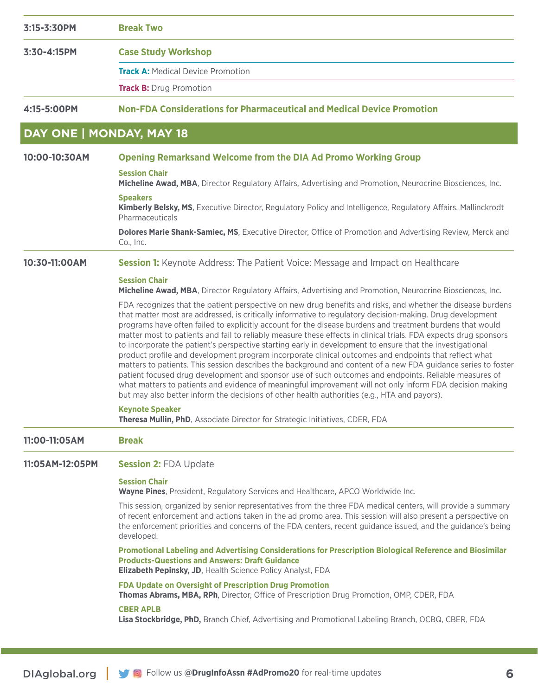| 3:15-3:30PM     | <b>Break Two</b>                                                                                                                                                                                                                                                                                                                                                                                                                                                                                                                                                                                                                                                                                                                                                                                                                                                                                                                                                                                                                                                                                                      |
|-----------------|-----------------------------------------------------------------------------------------------------------------------------------------------------------------------------------------------------------------------------------------------------------------------------------------------------------------------------------------------------------------------------------------------------------------------------------------------------------------------------------------------------------------------------------------------------------------------------------------------------------------------------------------------------------------------------------------------------------------------------------------------------------------------------------------------------------------------------------------------------------------------------------------------------------------------------------------------------------------------------------------------------------------------------------------------------------------------------------------------------------------------|
| 3:30-4:15PM     | <b>Case Study Workshop</b>                                                                                                                                                                                                                                                                                                                                                                                                                                                                                                                                                                                                                                                                                                                                                                                                                                                                                                                                                                                                                                                                                            |
|                 | <b>Track A: Medical Device Promotion</b>                                                                                                                                                                                                                                                                                                                                                                                                                                                                                                                                                                                                                                                                                                                                                                                                                                                                                                                                                                                                                                                                              |
|                 | <b>Track B: Drug Promotion</b>                                                                                                                                                                                                                                                                                                                                                                                                                                                                                                                                                                                                                                                                                                                                                                                                                                                                                                                                                                                                                                                                                        |
| 4:15-5:00PM     | <b>Non-FDA Considerations for Pharmaceutical and Medical Device Promotion</b>                                                                                                                                                                                                                                                                                                                                                                                                                                                                                                                                                                                                                                                                                                                                                                                                                                                                                                                                                                                                                                         |
|                 | DAY ONE   MONDAY, MAY 18                                                                                                                                                                                                                                                                                                                                                                                                                                                                                                                                                                                                                                                                                                                                                                                                                                                                                                                                                                                                                                                                                              |
| 10:00-10:30AM   | <b>Opening Remarksand Welcome from the DIA Ad Promo Working Group</b>                                                                                                                                                                                                                                                                                                                                                                                                                                                                                                                                                                                                                                                                                                                                                                                                                                                                                                                                                                                                                                                 |
|                 | <b>Session Chair</b><br>Micheline Awad, MBA, Director Regulatory Affairs, Advertising and Promotion, Neurocrine Biosciences, Inc.                                                                                                                                                                                                                                                                                                                                                                                                                                                                                                                                                                                                                                                                                                                                                                                                                                                                                                                                                                                     |
|                 | <b>Speakers</b><br>Kimberly Belsky, MS, Executive Director, Regulatory Policy and Intelligence, Regulatory Affairs, Mallinckrodt<br>Pharmaceuticals                                                                                                                                                                                                                                                                                                                                                                                                                                                                                                                                                                                                                                                                                                                                                                                                                                                                                                                                                                   |
|                 | Dolores Marie Shank-Samiec, MS, Executive Director, Office of Promotion and Advertising Review, Merck and<br>Co., Inc.                                                                                                                                                                                                                                                                                                                                                                                                                                                                                                                                                                                                                                                                                                                                                                                                                                                                                                                                                                                                |
| 10:30-11:00AM   | <b>Session 1:</b> Keynote Address: The Patient Voice: Message and Impact on Healthcare                                                                                                                                                                                                                                                                                                                                                                                                                                                                                                                                                                                                                                                                                                                                                                                                                                                                                                                                                                                                                                |
|                 | <b>Session Chair</b><br>Micheline Awad, MBA, Director Regulatory Affairs, Advertising and Promotion, Neurocrine Biosciences, Inc.                                                                                                                                                                                                                                                                                                                                                                                                                                                                                                                                                                                                                                                                                                                                                                                                                                                                                                                                                                                     |
|                 | FDA recognizes that the patient perspective on new drug benefits and risks, and whether the disease burdens<br>that matter most are addressed, is critically informative to regulatory decision-making. Drug development<br>programs have often failed to explicitly account for the disease burdens and treatment burdens that would<br>matter most to patients and fail to reliably measure these effects in clinical trials. FDA expects drug sponsors<br>to incorporate the patient's perspective starting early in development to ensure that the investigational<br>product profile and development program incorporate clinical outcomes and endpoints that reflect what<br>matters to patients. This session describes the background and content of a new FDA guidance series to foster<br>patient focused drug development and sponsor use of such outcomes and endpoints. Reliable measures of<br>what matters to patients and evidence of meaningful improvement will not only inform FDA decision making<br>but may also better inform the decisions of other health authorities (e.g., HTA and payors). |
|                 | <b>Keynote Speaker</b><br>Theresa Mullin, PhD, Associate Director for Strategic Initiatives, CDER, FDA                                                                                                                                                                                                                                                                                                                                                                                                                                                                                                                                                                                                                                                                                                                                                                                                                                                                                                                                                                                                                |
| 11:00-11:05AM   | <b>Break</b>                                                                                                                                                                                                                                                                                                                                                                                                                                                                                                                                                                                                                                                                                                                                                                                                                                                                                                                                                                                                                                                                                                          |
| 11:05AM-12:05PM | <b>Session 2: FDA Update</b>                                                                                                                                                                                                                                                                                                                                                                                                                                                                                                                                                                                                                                                                                                                                                                                                                                                                                                                                                                                                                                                                                          |
|                 | <b>Session Chair</b><br>Wayne Pines, President, Regulatory Services and Healthcare, APCO Worldwide Inc.                                                                                                                                                                                                                                                                                                                                                                                                                                                                                                                                                                                                                                                                                                                                                                                                                                                                                                                                                                                                               |
|                 | This session, organized by senior representatives from the three FDA medical centers, will provide a summary<br>of recent enforcement and actions taken in the ad promo area. This session will also present a perspective on<br>the enforcement priorities and concerns of the FDA centers, recent guidance issued, and the guidance's being<br>developed.                                                                                                                                                                                                                                                                                                                                                                                                                                                                                                                                                                                                                                                                                                                                                           |
|                 | Promotional Labeling and Advertising Considerations for Prescription Biological Reference and Biosimilar<br><b>Products-Questions and Answers: Draft Guidance</b><br><b>Elizabeth Pepinsky, JD, Health Science Policy Analyst, FDA</b>                                                                                                                                                                                                                                                                                                                                                                                                                                                                                                                                                                                                                                                                                                                                                                                                                                                                                |
|                 | FDA Update on Oversight of Prescription Drug Promotion<br>Thomas Abrams, MBA, RPh, Director, Office of Prescription Drug Promotion, OMP, CDER, FDA                                                                                                                                                                                                                                                                                                                                                                                                                                                                                                                                                                                                                                                                                                                                                                                                                                                                                                                                                                    |
|                 | <b>CBER APLB</b><br>Lisa Stockbridge, PhD, Branch Chief, Advertising and Promotional Labeling Branch, OCBQ, CBER, FDA                                                                                                                                                                                                                                                                                                                                                                                                                                                                                                                                                                                                                                                                                                                                                                                                                                                                                                                                                                                                 |
|                 |                                                                                                                                                                                                                                                                                                                                                                                                                                                                                                                                                                                                                                                                                                                                                                                                                                                                                                                                                                                                                                                                                                                       |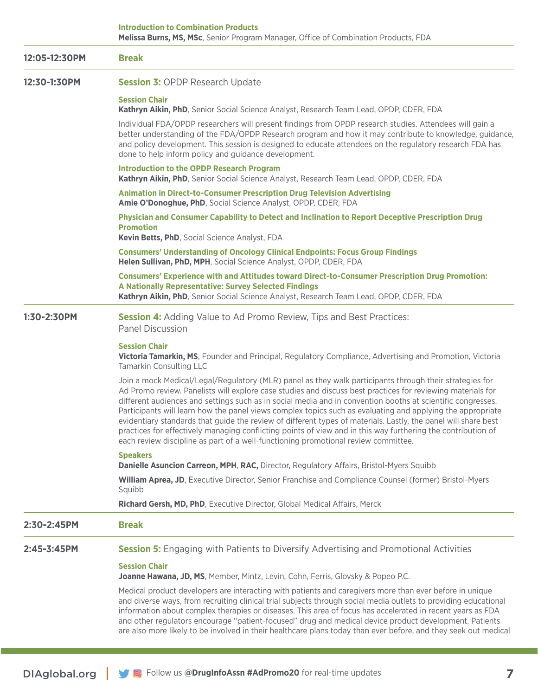**Introduction to Combination Products Melissa Burns, MS, MSc**, Senior Program Manager, Office of Combination Products, FDA

| 12:05-12:30PM | <b>Break</b>                                                                                                                                                                                                                                                                                                                                                                                                                                                                                                                                                                                                                                                                                                                                                                |
|---------------|-----------------------------------------------------------------------------------------------------------------------------------------------------------------------------------------------------------------------------------------------------------------------------------------------------------------------------------------------------------------------------------------------------------------------------------------------------------------------------------------------------------------------------------------------------------------------------------------------------------------------------------------------------------------------------------------------------------------------------------------------------------------------------|
| 12:30-1:30PM  | <b>Session 3: OPDP Research Update</b>                                                                                                                                                                                                                                                                                                                                                                                                                                                                                                                                                                                                                                                                                                                                      |
|               | <b>Session Chair</b><br>Kathryn Aikin, PhD, Senior Social Science Analyst, Research Team Lead, OPDP, CDER, FDA                                                                                                                                                                                                                                                                                                                                                                                                                                                                                                                                                                                                                                                              |
|               | Individual FDA/OPDP researchers will present findings from OPDP research studies. Attendees will gain a<br>better understanding of the FDA/OPDP Research program and how it may contribute to knowledge, guidance,<br>and policy development. This session is designed to educate attendees on the regulatory research FDA has<br>done to help inform policy and guidance development.                                                                                                                                                                                                                                                                                                                                                                                      |
|               | <b>Introduction to the OPDP Research Program</b><br>Kathryn Aikin, PhD, Senior Social Science Analyst, Research Team Lead, OPDP, CDER, FDA                                                                                                                                                                                                                                                                                                                                                                                                                                                                                                                                                                                                                                  |
|               | <b>Animation in Direct-to-Consumer Prescription Drug Television Advertising</b><br>Amie O'Donoghue, PhD, Social Science Analyst, OPDP, CDER, FDA                                                                                                                                                                                                                                                                                                                                                                                                                                                                                                                                                                                                                            |
|               | Physician and Consumer Capability to Detect and Inclination to Report Deceptive Prescription Drug<br><b>Promotion</b><br>Kevin Betts, PhD, Social Science Analyst, FDA                                                                                                                                                                                                                                                                                                                                                                                                                                                                                                                                                                                                      |
|               | <b>Consumers' Understanding of Oncology Clinical Endpoints: Focus Group Findings</b><br>Helen Sullivan, PhD, MPH, Social Science Analyst, OPDP, CDER, FDA                                                                                                                                                                                                                                                                                                                                                                                                                                                                                                                                                                                                                   |
|               | <b>Consumers' Experience with and Attitudes toward Direct-to-Consumer Prescription Drug Promotion:</b><br>A Nationally Representative: Survey Selected Findings<br>Kathryn Aikin, PhD, Senior Social Science Analyst, Research Team Lead, OPDP, CDER, FDA                                                                                                                                                                                                                                                                                                                                                                                                                                                                                                                   |
| 1:30-2:30PM   | <b>Session 4:</b> Adding Value to Ad Promo Review, Tips and Best Practices:<br><b>Panel Discussion</b>                                                                                                                                                                                                                                                                                                                                                                                                                                                                                                                                                                                                                                                                      |
|               | <b>Session Chair</b><br>Victoria Tamarkin, MS, Founder and Principal, Regulatory Compliance, Advertising and Promotion, Victoria<br><b>Tamarkin Consulting LLC</b>                                                                                                                                                                                                                                                                                                                                                                                                                                                                                                                                                                                                          |
|               | Join a mock Medical/Legal/Regulatory (MLR) panel as they walk participants through their strategies for<br>Ad Promo review. Panelists will explore case studies and discuss best practices for reviewing materials for<br>different audiences and settings such as in social media and in convention booths at scientific congresses.<br>Participants will learn how the panel views complex topics such as evaluating and applying the appropriate<br>evidentiary standards that guide the review of different types of materials. Lastly, the panel will share best<br>practices for effectively managing conflicting points of view and in this way furthering the contribution of<br>each review discipline as part of a well-functioning promotional review committee. |
|               | <b>Speakers</b><br>Danielle Asuncion Carreon, MPH, RAC, Director, Regulatory Affairs, Bristol-Myers Squibb                                                                                                                                                                                                                                                                                                                                                                                                                                                                                                                                                                                                                                                                  |
|               | William Aprea, JD, Executive Director, Senior Franchise and Compliance Counsel (former) Bristol-Myers<br>Squibb                                                                                                                                                                                                                                                                                                                                                                                                                                                                                                                                                                                                                                                             |
|               | Richard Gersh, MD, PhD, Executive Director, Global Medical Affairs, Merck                                                                                                                                                                                                                                                                                                                                                                                                                                                                                                                                                                                                                                                                                                   |
| 2:30-2:45PM   | <b>Break</b>                                                                                                                                                                                                                                                                                                                                                                                                                                                                                                                                                                                                                                                                                                                                                                |
| 2:45-3:45PM   | <b>Session 5:</b> Engaging with Patients to Diversify Advertising and Promotional Activities                                                                                                                                                                                                                                                                                                                                                                                                                                                                                                                                                                                                                                                                                |
|               | <b>Session Chair</b><br>Joanne Hawana, JD, MS, Member, Mintz, Levin, Cohn, Ferris, Glovsky & Popeo P.C.                                                                                                                                                                                                                                                                                                                                                                                                                                                                                                                                                                                                                                                                     |
|               | Medical product developers are interacting with patients and caregivers more than ever before in unique<br>and diverse ways, from recruiting clinical trial subjects through social media outlets to providing educational<br>information about complex therapies or diseases. This area of focus has accelerated in recent years as FDA<br>and other regulators encourage "patient-focused" drug and medical device product development. Patients<br>are also more likely to be involved in their healthcare plans today than ever before, and they seek out medical                                                                                                                                                                                                       |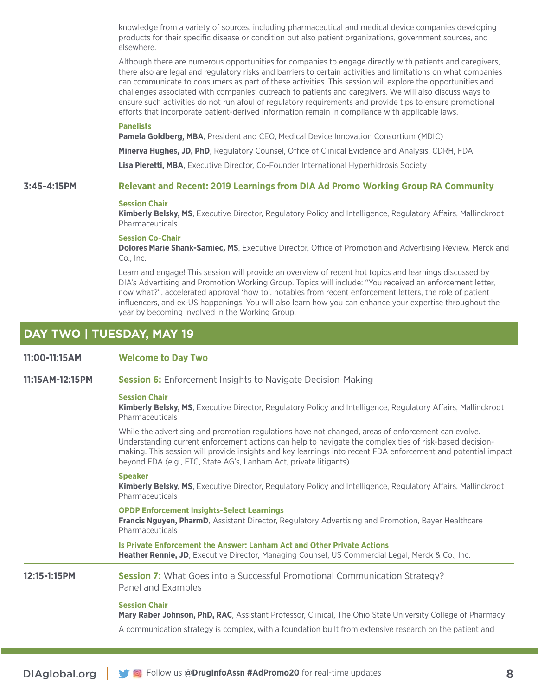knowledge from a variety of sources, including pharmaceutical and medical device companies developing products for their specific disease or condition but also patient organizations, government sources, and elsewhere.

Although there are numerous opportunities for companies to engage directly with patients and caregivers, there also are legal and regulatory risks and barriers to certain activities and limitations on what companies can communicate to consumers as part of these activities. This session will explore the opportunities and challenges associated with companies' outreach to patients and caregivers. We will also discuss ways to ensure such activities do not run afoul of regulatory requirements and provide tips to ensure promotional efforts that incorporate patient-derived information remain in compliance with applicable laws.

### **Panelists**

**Pamela Goldberg, MBA**, President and CEO, Medical Device Innovation Consortium (MDIC)

**Minerva Hughes, JD, PhD**, Regulatory Counsel, Office of Clinical Evidence and Analysis, CDRH, FDA

**Lisa Pieretti, MBA**, Executive Director, Co-Founder International Hyperhidrosis Society

# **3:45-4:15PM Relevant and Recent: 2019 Learnings from DIA Ad Promo Working Group RA Community**

### **Session Chair**

**Kimberly Belsky, MS**, Executive Director, Regulatory Policy and Intelligence, Regulatory Affairs, Mallinckrodt Pharmaceuticals

# **Session Co-Chair**

**Dolores Marie Shank-Samiec, MS**, Executive Director, Office of Promotion and Advertising Review, Merck and Co., Inc.

Learn and engage! This session will provide an overview of recent hot topics and learnings discussed by DIA's Advertising and Promotion Working Group. Topics will include: "You received an enforcement letter, now what?", accelerated approval 'how to', notables from recent enforcement letters, the role of patient influencers, and ex-US happenings. You will also learn how you can enhance your expertise throughout the year by becoming involved in the Working Group.

# **DAY TWO | TUESDAY, MAY 19**

| 11:00-11:15AM   | <b>Welcome to Day Two</b>                                                                                                                                                                                                                                                                                                                                                                            |
|-----------------|------------------------------------------------------------------------------------------------------------------------------------------------------------------------------------------------------------------------------------------------------------------------------------------------------------------------------------------------------------------------------------------------------|
| 11:15AM-12:15PM | <b>Session 6:</b> Enforcement Insights to Navigate Decision-Making                                                                                                                                                                                                                                                                                                                                   |
|                 | <b>Session Chair</b><br><b>Kimberly Belsky, MS</b> , Executive Director, Regulatory Policy and Intelligence, Regulatory Affairs, Mallinckrodt<br>Pharmaceuticals                                                                                                                                                                                                                                     |
|                 | While the advertising and promotion regulations have not changed, areas of enforcement can evolve.<br>Understanding current enforcement actions can help to navigate the complexities of risk-based decision-<br>making. This session will provide insights and key learnings into recent FDA enforcement and potential impact<br>beyond FDA (e.g., FTC, State AG's, Lanham Act, private litigants). |
|                 | <b>Speaker</b><br><b>Kimberly Belsky, MS</b> , Executive Director, Regulatory Policy and Intelligence, Regulatory Affairs, Mallinckrodt<br>Pharmaceuticals                                                                                                                                                                                                                                           |
|                 | <b>OPDP Enforcement Insights-Select Learnings</b><br><b>Francis Nguyen, PharmD</b> , Assistant Director, Regulatory Advertising and Promotion, Bayer Healthcare<br>Pharmaceuticals                                                                                                                                                                                                                   |
|                 | Is Private Enforcement the Answer: Lanham Act and Other Private Actions<br>Heather Rennie, JD, Executive Director, Managing Counsel, US Commercial Legal, Merck & Co., Inc.                                                                                                                                                                                                                          |
| 12:15-1:15PM    | Session 7: What Goes into a Successful Promotional Communication Strategy?<br>Panel and Examples                                                                                                                                                                                                                                                                                                     |
|                 | <b>Session Chair</b><br><b>Mary Raber Johnson, PhD, RAC.</b> Assistant Professor, Clinical, The Ohio State University College of Pharmacy                                                                                                                                                                                                                                                            |
|                 | A communication strategy is complex, with a foundation built from extensive research on the patient and                                                                                                                                                                                                                                                                                              |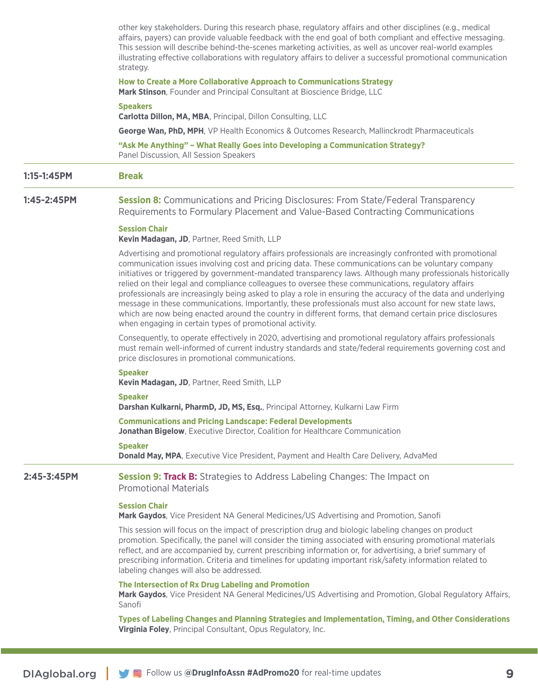|             | other key stakeholders. During this research phase, regulatory affairs and other disciplines (e.g., medical<br>affairs, payers) can provide valuable feedback with the end goal of both compliant and effective messaging.<br>This session will describe behind-the-scenes marketing activities, as well as uncover real-world examples<br>illustrating effective collaborations with regulatory affairs to deliver a successful promotional communication<br>strategy.                                                                                                                                                                                                                                                                                                                                                                   |
|-------------|-------------------------------------------------------------------------------------------------------------------------------------------------------------------------------------------------------------------------------------------------------------------------------------------------------------------------------------------------------------------------------------------------------------------------------------------------------------------------------------------------------------------------------------------------------------------------------------------------------------------------------------------------------------------------------------------------------------------------------------------------------------------------------------------------------------------------------------------|
|             | How to Create a More Collaborative Approach to Communications Strategy<br>Mark Stinson, Founder and Principal Consultant at Bioscience Bridge, LLC                                                                                                                                                                                                                                                                                                                                                                                                                                                                                                                                                                                                                                                                                        |
|             | <b>Speakers</b><br>Carlotta Dillon, MA, MBA, Principal, Dillon Consulting, LLC                                                                                                                                                                                                                                                                                                                                                                                                                                                                                                                                                                                                                                                                                                                                                            |
|             | George Wan, PhD, MPH, VP Health Economics & Outcomes Research, Mallinckrodt Pharmaceuticals                                                                                                                                                                                                                                                                                                                                                                                                                                                                                                                                                                                                                                                                                                                                               |
|             | "Ask Me Anything" - What Really Goes into Developing a Communication Strategy?<br>Panel Discussion, All Session Speakers                                                                                                                                                                                                                                                                                                                                                                                                                                                                                                                                                                                                                                                                                                                  |
| 1:15-1:45PM | <b>Break</b>                                                                                                                                                                                                                                                                                                                                                                                                                                                                                                                                                                                                                                                                                                                                                                                                                              |
| 1:45-2:45PM | <b>Session 8:</b> Communications and Pricing Disclosures: From State/Federal Transparency<br>Requirements to Formulary Placement and Value-Based Contracting Communications                                                                                                                                                                                                                                                                                                                                                                                                                                                                                                                                                                                                                                                               |
|             | <b>Session Chair</b><br>Kevin Madagan, JD, Partner, Reed Smith, LLP                                                                                                                                                                                                                                                                                                                                                                                                                                                                                                                                                                                                                                                                                                                                                                       |
|             | Advertising and promotional regulatory affairs professionals are increasingly confronted with promotional<br>communication issues involving cost and pricing data. These communications can be voluntary company<br>initiatives or triggered by government-mandated transparency laws. Although many professionals historically<br>relied on their legal and compliance colleagues to oversee these communications, regulatory affairs<br>professionals are increasingly being asked to play a role in ensuring the accuracy of the data and underlying<br>message in these communications. Importantly, these professionals must also account for new state laws,<br>which are now being enacted around the country in different forms, that demand certain price disclosures<br>when engaging in certain types of promotional activity. |
|             | Consequently, to operate effectively in 2020, advertising and promotional regulatory affairs professionals<br>must remain well-informed of current industry standards and state/federal requirements governing cost and<br>price disclosures in promotional communications.                                                                                                                                                                                                                                                                                                                                                                                                                                                                                                                                                               |
|             | <b>Speaker</b><br>Kevin Madagan, JD, Partner, Reed Smith, LLP                                                                                                                                                                                                                                                                                                                                                                                                                                                                                                                                                                                                                                                                                                                                                                             |
|             | <b>Speaker</b><br>Darshan Kulkarni, PharmD, JD, MS, Esq., Principal Attorney, Kulkarni Law Firm                                                                                                                                                                                                                                                                                                                                                                                                                                                                                                                                                                                                                                                                                                                                           |
|             | <b>Communications and Pricing Landscape: Federal Developments</b><br>Jonathan Bigelow, Executive Director, Coalition for Healthcare Communication                                                                                                                                                                                                                                                                                                                                                                                                                                                                                                                                                                                                                                                                                         |
|             | <b>Speaker</b><br>Donald May, MPA, Executive Vice President, Payment and Health Care Delivery, AdvaMed                                                                                                                                                                                                                                                                                                                                                                                                                                                                                                                                                                                                                                                                                                                                    |
| 2:45-3:45PM | <b>Session 9: Track B:</b> Strategies to Address Labeling Changes: The Impact on<br><b>Promotional Materials</b>                                                                                                                                                                                                                                                                                                                                                                                                                                                                                                                                                                                                                                                                                                                          |
|             | <b>Session Chair</b><br>Mark Gaydos, Vice President NA General Medicines/US Advertising and Promotion, Sanofi                                                                                                                                                                                                                                                                                                                                                                                                                                                                                                                                                                                                                                                                                                                             |
|             | This session will focus on the impact of prescription drug and biologic labeling changes on product<br>promotion. Specifically, the panel will consider the timing associated with ensuring promotional materials<br>reflect, and are accompanied by, current prescribing information or, for advertising, a brief summary of<br>prescribing information. Criteria and timelines for updating important risk/safety information related to<br>labeling changes will also be addressed.                                                                                                                                                                                                                                                                                                                                                    |
|             | The Intersection of Rx Drug Labeling and Promotion<br>Mark Gaydos, Vice President NA General Medicines/US Advertising and Promotion, Global Regulatory Affairs,<br>Sanofi                                                                                                                                                                                                                                                                                                                                                                                                                                                                                                                                                                                                                                                                 |
|             | Types of Labeling Changes and Planning Strategies and Implementation, Timing, and Other Considerations<br>Virginia Foley, Principal Consultant, Opus Regulatory, Inc.                                                                                                                                                                                                                                                                                                                                                                                                                                                                                                                                                                                                                                                                     |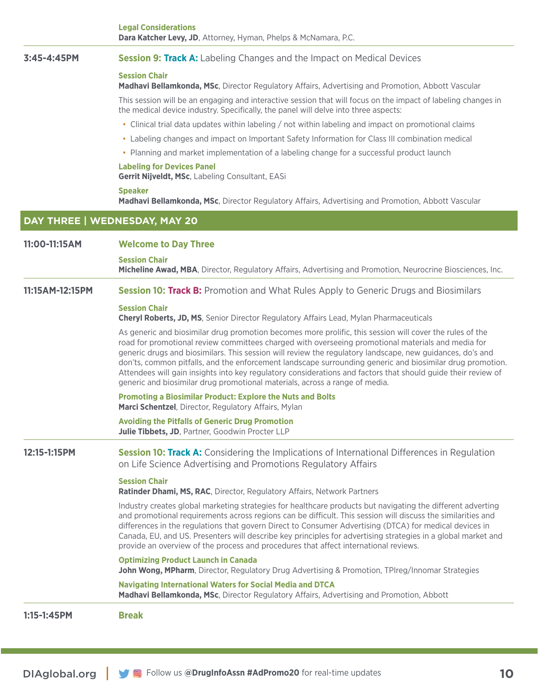|                               | <b>Legal Considerations</b><br>Dara Katcher Levy, JD, Attorney, Hyman, Phelps & McNamara, P.C.                                                                                                                                                                                                                                                                                                                                                                                                                                                                                                                                           |
|-------------------------------|------------------------------------------------------------------------------------------------------------------------------------------------------------------------------------------------------------------------------------------------------------------------------------------------------------------------------------------------------------------------------------------------------------------------------------------------------------------------------------------------------------------------------------------------------------------------------------------------------------------------------------------|
| 3:45-4:45PM                   | <b>Session 9: Track A:</b> Labeling Changes and the Impact on Medical Devices                                                                                                                                                                                                                                                                                                                                                                                                                                                                                                                                                            |
|                               | <b>Session Chair</b><br><b>Madhavi Bellamkonda, MSc, Director Regulatory Affairs, Advertising and Promotion, Abbott Vascular</b>                                                                                                                                                                                                                                                                                                                                                                                                                                                                                                         |
|                               | This session will be an engaging and interactive session that will focus on the impact of labeling changes in<br>the medical device industry. Specifically, the panel will delve into three aspects:                                                                                                                                                                                                                                                                                                                                                                                                                                     |
|                               | • Clinical trial data updates within labeling / not within labeling and impact on promotional claims                                                                                                                                                                                                                                                                                                                                                                                                                                                                                                                                     |
|                               | • Labeling changes and impact on Important Safety Information for Class III combination medical                                                                                                                                                                                                                                                                                                                                                                                                                                                                                                                                          |
|                               | • Planning and market implementation of a labeling change for a successful product launch                                                                                                                                                                                                                                                                                                                                                                                                                                                                                                                                                |
|                               | <b>Labeling for Devices Panel</b><br>Gerrit Nijveldt, MSc, Labeling Consultant, EASi                                                                                                                                                                                                                                                                                                                                                                                                                                                                                                                                                     |
|                               | <b>Speaker</b><br>Madhavi Bellamkonda, MSc, Director Regulatory Affairs, Advertising and Promotion, Abbott Vascular                                                                                                                                                                                                                                                                                                                                                                                                                                                                                                                      |
| DAY THREE   WEDNESDAY, MAY 20 |                                                                                                                                                                                                                                                                                                                                                                                                                                                                                                                                                                                                                                          |
| 11:00-11:15AM                 | <b>Welcome to Day Three</b>                                                                                                                                                                                                                                                                                                                                                                                                                                                                                                                                                                                                              |
|                               | <b>Session Chair</b><br>Micheline Awad, MBA, Director, Regulatory Affairs, Advertising and Promotion, Neurocrine Biosciences, Inc.                                                                                                                                                                                                                                                                                                                                                                                                                                                                                                       |
| 11:15AM-12:15PM               | <b>Session 10: Track B:</b> Promotion and What Rules Apply to Generic Drugs and Biosimilars                                                                                                                                                                                                                                                                                                                                                                                                                                                                                                                                              |
|                               | <b>Session Chair</b><br><b>Cheryl Roberts, JD, MS</b> , Senior Director Regulatory Affairs Lead, Mylan Pharmaceuticals                                                                                                                                                                                                                                                                                                                                                                                                                                                                                                                   |
|                               | As generic and biosimilar drug promotion becomes more prolific, this session will cover the rules of the<br>road for promotional review committees charged with overseeing promotional materials and media for<br>generic drugs and biosimilars. This session will review the regulatory landscape, new guidances, do's and<br>don'ts, common pitfalls, and the enforcement landscape surrounding generic and biosimilar drug promotion.<br>Attendees will gain insights into key regulatory considerations and factors that should guide their review of<br>generic and biosimilar drug promotional materials, across a range of media. |
|                               | <b>Promoting a Biosimilar Product: Explore the Nuts and Bolts</b><br>Marci Schentzel, Director, Regulatory Affairs, Mylan                                                                                                                                                                                                                                                                                                                                                                                                                                                                                                                |
|                               | <b>Avoiding the Pitfalls of Generic Drug Promotion</b><br>Julie Tibbets, JD, Partner, Goodwin Procter LLP                                                                                                                                                                                                                                                                                                                                                                                                                                                                                                                                |
| 12:15-1:15PM                  | Session 10: Track A: Considering the Implications of International Differences in Regulation<br>on Life Science Advertising and Promotions Regulatory Affairs                                                                                                                                                                                                                                                                                                                                                                                                                                                                            |
|                               | <b>Session Chair</b><br>Ratinder Dhami, MS, RAC, Director, Regulatory Affairs, Network Partners                                                                                                                                                                                                                                                                                                                                                                                                                                                                                                                                          |
|                               | Industry creates global marketing strategies for healthcare products but navigating the different adverting<br>and promotional requirements across regions can be difficult. This session will discuss the similarities and<br>differences in the regulations that govern Direct to Consumer Advertising (DTCA) for medical devices in<br>Canada, EU, and US. Presenters will describe key principles for advertising strategies in a global market and<br>provide an overview of the process and procedures that affect international reviews.                                                                                          |
|                               | <b>Optimizing Product Launch in Canada</b><br>John Wong, MPharm, Director, Regulatory Drug Advertising & Promotion, TPIreg/Innomar Strategies                                                                                                                                                                                                                                                                                                                                                                                                                                                                                            |
|                               | <b>Navigating International Waters for Social Media and DTCA</b><br>Madhavi Bellamkonda, MSc, Director Regulatory Affairs, Advertising and Promotion, Abbott                                                                                                                                                                                                                                                                                                                                                                                                                                                                             |
| 1:15-1:45PM                   | <b>Break</b>                                                                                                                                                                                                                                                                                                                                                                                                                                                                                                                                                                                                                             |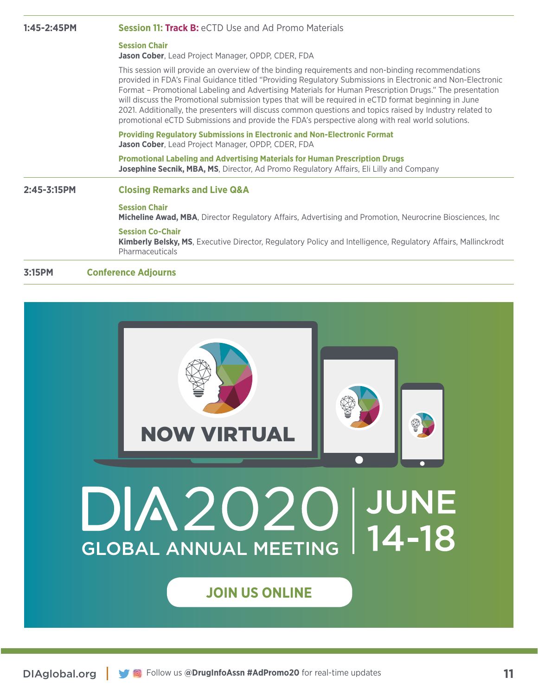| $1:45 - 2:45$ PM | <b>Session 11: Track B:</b> eCTD Use and Ad Promo Materials                                                                                                                                                                                                                                                                                                                                                                                                                                                                                                                                                                                        |
|------------------|----------------------------------------------------------------------------------------------------------------------------------------------------------------------------------------------------------------------------------------------------------------------------------------------------------------------------------------------------------------------------------------------------------------------------------------------------------------------------------------------------------------------------------------------------------------------------------------------------------------------------------------------------|
|                  | <b>Session Chair</b><br>Jason Cober, Lead Project Manager, OPDP, CDER, FDA                                                                                                                                                                                                                                                                                                                                                                                                                                                                                                                                                                         |
|                  | This session will provide an overview of the binding requirements and non-binding recommendations<br>provided in FDA's Final Guidance titled "Providing Regulatory Submissions in Electronic and Non-Electronic<br>Format – Promotional Labeling and Advertising Materials for Human Prescription Drugs." The presentation<br>will discuss the Promotional submission types that will be required in eCTD format beginning in June<br>2021. Additionally, the presenters will discuss common questions and topics raised by Industry related to<br>promotional eCTD Submissions and provide the FDA's perspective along with real world solutions. |
|                  | <b>Providing Regulatory Submissions in Electronic and Non-Electronic Format</b><br>Jason Cober, Lead Project Manager, OPDP, CDER, FDA                                                                                                                                                                                                                                                                                                                                                                                                                                                                                                              |
|                  | Promotional Labeling and Advertising Materials for Human Prescription Drugs<br><b>Josephine Secnik, MBA, MS, Director, Ad Promo Regulatory Affairs, Eli Lilly and Company</b>                                                                                                                                                                                                                                                                                                                                                                                                                                                                      |
| $2:45 - 3:15$ PM | <b>Closing Remarks and Live Q&amp;A</b>                                                                                                                                                                                                                                                                                                                                                                                                                                                                                                                                                                                                            |
|                  | <b>Session Chair</b><br>Micheline Awad, MBA, Director Regulatory Affairs, Advertising and Promotion, Neurocrine Biosciences, Inc                                                                                                                                                                                                                                                                                                                                                                                                                                                                                                                   |
|                  | <b>Session Co-Chair</b><br>Kimberly Belsky, MS, Executive Director, Regulatory Policy and Intelligence, Regulatory Affairs, Mallinckrodt<br>Pharmaceuticals                                                                                                                                                                                                                                                                                                                                                                                                                                                                                        |
| 3:15PM           | <b>Conference Adiourns</b>                                                                                                                                                                                                                                                                                                                                                                                                                                                                                                                                                                                                                         |